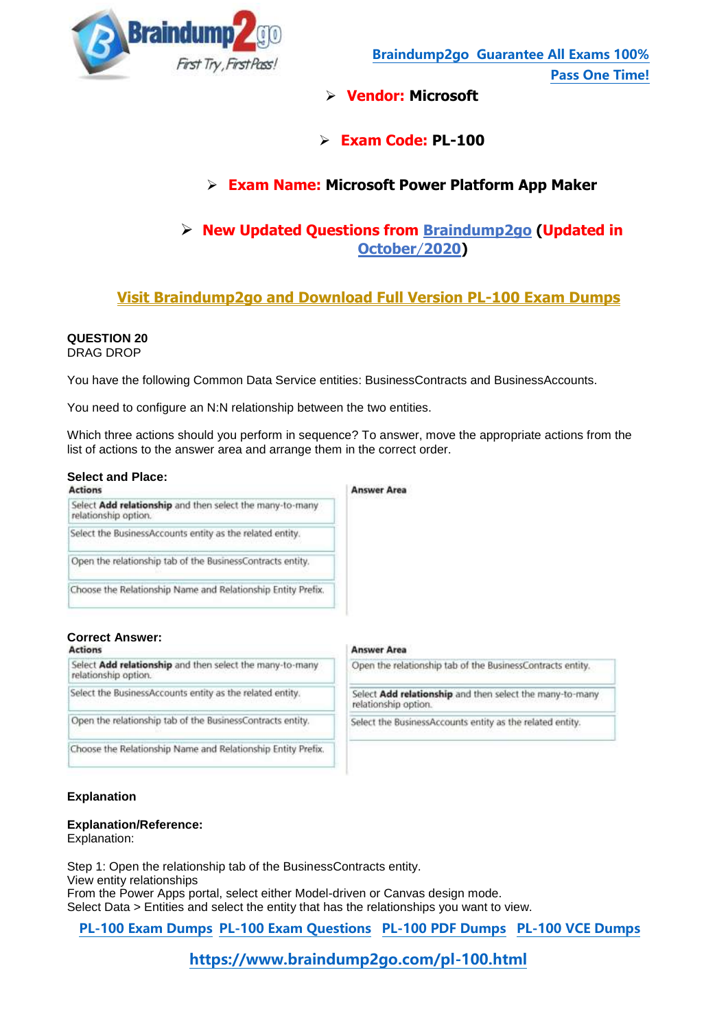

- **Vendor: Microsoft**
- **Exam Code: PL-100**

# **Exam Name: Microsoft Power Platform App Maker**

# **New Updated Questions from Braindump2go (Updated in October**/**2020)**

# **Visit Braindump2go [and Download Full Version PL-100](https://www.braindump2go.com/pl-100.html) Exam Dumps**

# **QUESTION 20**

DRAG DROP

You have the following Common Data Service entities: BusinessContracts and BusinessAccounts.

You need to configure an N:N relationship between the two entities.

Which three actions should you perform in sequence? To answer, move the appropriate actions from the list of actions to the answer area and arrange them in the correct order.

**Answer Area** 

# **Select and Place:**

| <b>Actions</b>                                                                   | <b>Answer Area</b> |
|----------------------------------------------------------------------------------|--------------------|
| Select Add relationship and then select the many-to-many<br>relationship option. |                    |
| Select the BusinessAccounts entity as the related entity.                        |                    |
| Open the relationship tab of the BusinessContracts entity.                       |                    |
| Choose the Relationship Name and Relationship Entity Prefix.                     |                    |

# **Correct Answer:**

Select Add relationship and then select the many-to-many relationship option.

Select the BusinessAccounts entity as the related entity.

Open the relationship tab of the BusinessContracts entity.

Choose the Relationship Name and Relationship Entity Prefix.

| relationship option. | Select Add relationship and then select the many-to-many  |
|----------------------|-----------------------------------------------------------|
|                      | Select the BusinessAccounts entity as the related entity. |

# **Explanation**

# **Explanation/Reference:**

Explanation:

Step 1: Open the relationship tab of the BusinessContracts entity. View entity relationships From the Power Apps portal, select either Model-driven or Canvas design mode. Select Data > Entities and select the entity that has the relationships you want to view.

**[PL-100 Exam Dumps](https://www.braindump2go.com/pl-100.html) [PL-100 Exam Questions PL-100 PDF Dumps PL-100 VCE Dumps](https://www.braindump2go.com/pl-100.html)**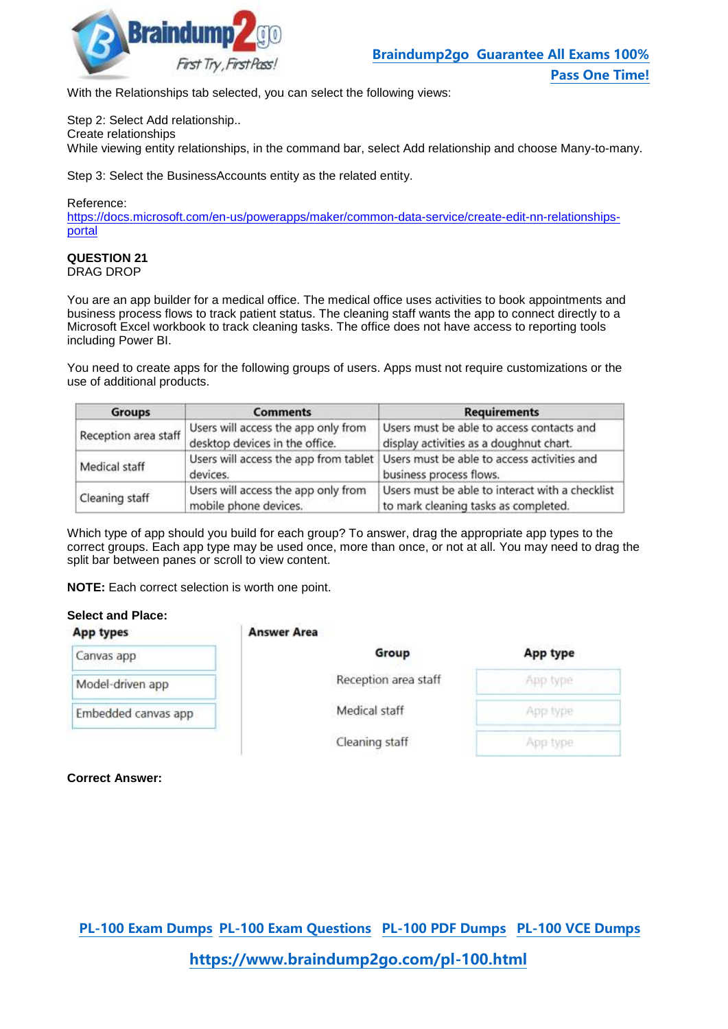

With the Relationships tab selected, you can select the following views:

Step 2: Select Add relationship..

Create relationships

While viewing entity relationships, in the command bar, select Add relationship and choose Many-to-many.

Step 3: Select the BusinessAccounts entity as the related entity.

# Reference:

https://docs.microsoft.com/en-us/powerapps/maker/common-data-service/create-edit-nn-relationshipsportal

#### **QUESTION 21** DRAG DROP

You are an app builder for a medical office. The medical office uses activities to book appointments and business process flows to track patient status. The cleaning staff wants the app to connect directly to a Microsoft Excel workbook to track cleaning tasks. The office does not have access to reporting tools including Power BI.

You need to create apps for the following groups of users. Apps must not require customizations or the use of additional products.

| <b>Groups</b>        | <b>Comments</b>                                                       | <b>Requirements</b>                                                                                          |
|----------------------|-----------------------------------------------------------------------|--------------------------------------------------------------------------------------------------------------|
| Reception area staff | Users will access the app only from<br>desktop devices in the office. | Users must be able to access contacts and<br>display activities as a doughnut chart.                         |
| Medical staff        | devices.                                                              | Users will access the app from tablet Users must be able to access activities and<br>business process flows. |
| Cleaning staff       | Users will access the app only from<br>mobile phone devices.          | Users must be able to interact with a checklist<br>to mark cleaning tasks as completed.                      |

Which type of app should you build for each group? To answer, drag the appropriate app types to the correct groups. Each app type may be used once, more than once, or not at all. You may need to drag the split bar between panes or scroll to view content.

**NOTE:** Each correct selection is worth one point.

# **Select and Place:**

| App types           | <b>Answer Area</b>   |          |
|---------------------|----------------------|----------|
| Canvas app          | Group                | App type |
| Model-driven app    | Reception area staff | App type |
| Embedded canvas app | Medical staff        | App type |
|                     | Cleaning staff       | App type |

**Correct Answer:**

**[PL-100 Exam Dumps](https://www.braindump2go.com/pl-100.html) [PL-100 Exam Questions PL-100 PDF Dumps PL-100 VCE Dumps](https://www.braindump2go.com/pl-100.html)**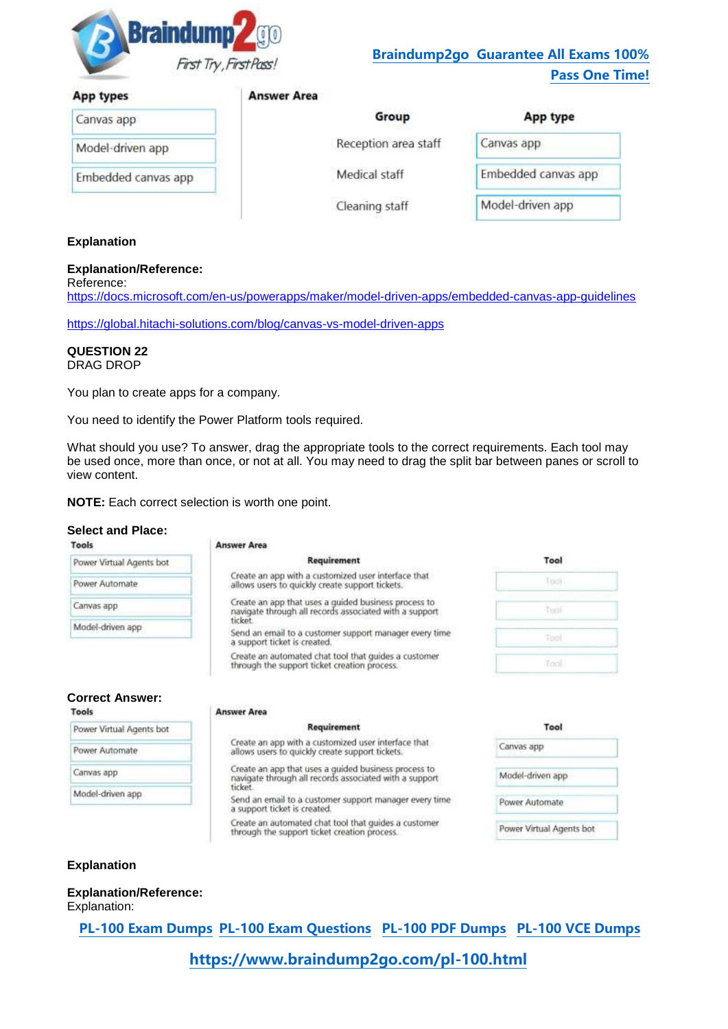

#### **App types**

| Canvas app       |  |
|------------------|--|
| Model-driven app |  |

Medical staff

Cleaning staff

Group

Reception area staff

| App type            |  |
|---------------------|--|
| Canvas app          |  |
| Embedded canvas app |  |
| Model-driven app    |  |

# **Explanation**

# **Explanation/Reference:**

Embedded canvas app

Reference: https://docs.microsoft.com/en-us/powerapps/maker/model-driven-apps/embedded-canvas-app-guidelines

https://global.hitachi-solutions.com/blog/canvas-vs-model-driven-apps

**Answer Area** 

#### **QUESTION 22** DRAG DROP

You plan to create apps for a company.

You need to identify the Power Platform tools required.

What should you use? To answer, drag the appropriate tools to the correct requirements. Each tool may be used once, more than once, or not at all. You may need to drag the split bar between panes or scroll to view content.

**NOTE:** Each correct selection is worth one point.

# **Select and Place:**

|                                                                                       | <b>Answer Area</b>                                                                                             |                  |
|---------------------------------------------------------------------------------------|----------------------------------------------------------------------------------------------------------------|------------------|
| Power Virtual Agents bot                                                              | Requirement                                                                                                    | Tool             |
| Power Automate                                                                        | Create an app with a customized user interface that<br>allows users to quickly create support tickets.         | Tool             |
| Canvas app                                                                            | Create an app that uses a guided business process to<br>navigate through all records associated with a support | Tool             |
| Model-driven app                                                                      | ticket<br>Send an email to a customer support manager every time<br>a support ticket is created.               | Tool             |
|                                                                                       | Create an automated chat tool that quides a customer<br>through the support ticket creation process.           | Tool             |
| <b>Correct Answer:</b>                                                                |                                                                                                                |                  |
|                                                                                       | <b>Answer Area</b><br>Requirement                                                                              | Tool             |
|                                                                                       | Create an app with a customized user interface that<br>allows users to quickly create support tickets.         | Canvas app       |
|                                                                                       | Create an app that uses a quided business process to<br>navigate through all records associated with a support | Model-driven app |
| Tools<br>Power Virtual Agents bot<br>Power Automate<br>Canvas app<br>Model-driven app | <b>ticket</b><br>Send an email to a customer support manager every time<br>a support ticket is created.        | Power Automate   |

# **Explanation**

**Explanation/Reference:** Explanation:

**[PL-100 Exam Dumps](https://www.braindump2go.com/pl-100.html) [PL-100 Exam Questions PL-100 PDF Dumps PL-100 VCE Dumps](https://www.braindump2go.com/pl-100.html)**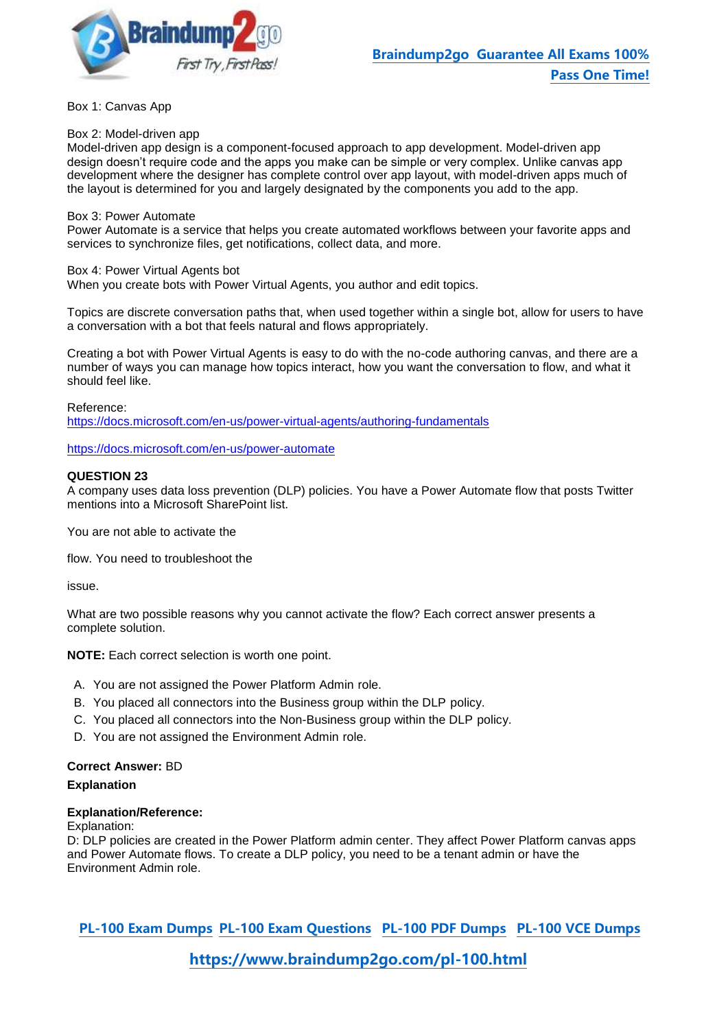

Box 1: Canvas App

Box 2: Model-driven app

Model-driven app design is a component-focused approach to app development. Model-driven app design doesn't require code and the apps you make can be simple or very complex. Unlike canvas app development where the designer has complete control over app layout, with model-driven apps much of the layout is determined for you and largely designated by the components you add to the app.

#### Box 3: Power Automate

Power Automate is a service that helps you create automated workflows between your favorite apps and services to synchronize files, get notifications, collect data, and more.

### Box 4: Power Virtual Agents bot

When you create bots with Power Virtual Agents, you author and edit topics.

Topics are discrete conversation paths that, when used together within a single bot, allow for users to have a conversation with a bot that feels natural and flows appropriately.

Creating a bot with Power Virtual Agents is easy to do with the no-code authoring canvas, and there are a number of ways you can manage how topics interact, how you want the conversation to flow, and what it should feel like.

Reference:

https://docs.microsoft.com/en-us/power-virtual-agents/authoring-fundamentals

https://docs.microsoft.com/en-us/power-automate

### **QUESTION 23**

A company uses data loss prevention (DLP) policies. You have a Power Automate flow that posts Twitter mentions into a Microsoft SharePoint list.

You are not able to activate the

flow. You need to troubleshoot the

issue.

What are two possible reasons why you cannot activate the flow? Each correct answer presents a complete solution.

**NOTE:** Each correct selection is worth one point.

- A. You are not assigned the Power Platform Admin role.
- B. You placed all connectors into the Business group within the DLP policy.
- C. You placed all connectors into the Non-Business group within the DLP policy.
- D. You are not assigned the Environment Admin role.

# **Correct Answer:** BD

# **Explanation**

#### **Explanation/Reference:**

Explanation:

D: DLP policies are created in the Power Platform admin center. They affect Power Platform canvas apps and Power Automate flows. To create a DLP policy, you need to be a tenant admin or have the Environment Admin role.

**[PL-100 Exam Dumps](https://www.braindump2go.com/pl-100.html) [PL-100 Exam Questions PL-100 PDF Dumps PL-100 VCE Dumps](https://www.braindump2go.com/pl-100.html)**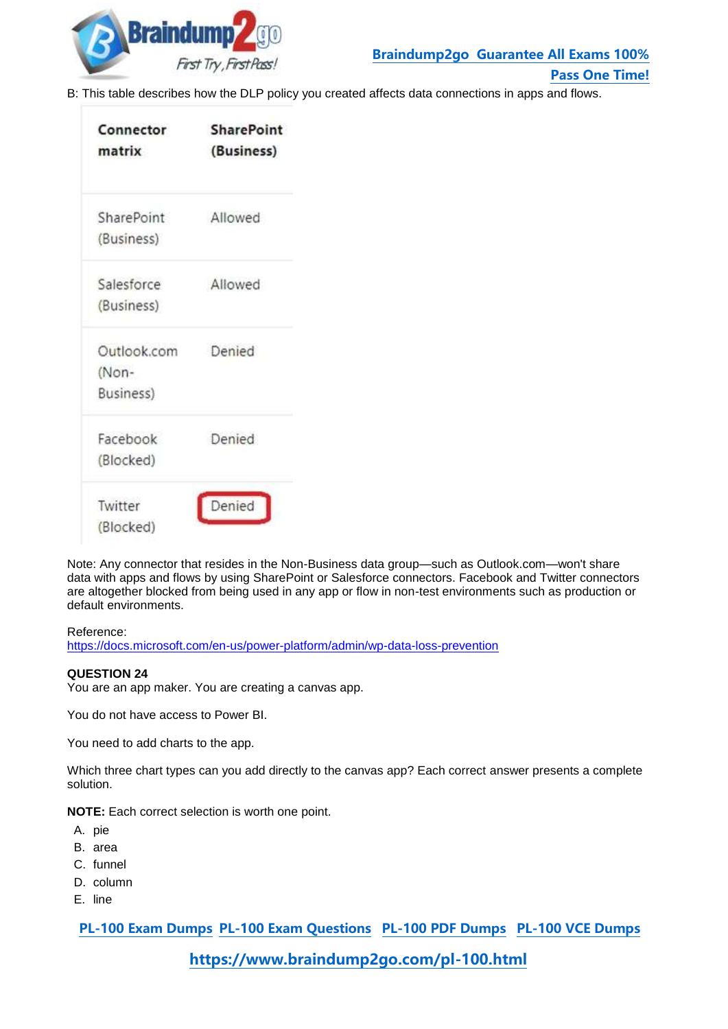

**[Pass One Time!](https://www.braindump2go.com/)**

B: This table describes how the DLP policy you created affects data connections in apps and flows.

| Connector<br>matrix | <b>SharePoint</b><br>(Business) |  |  |
|---------------------|---------------------------------|--|--|
| SharePoint          | Allowed                         |  |  |
| (Business)          |                                 |  |  |
| Salesforce          | Allowed                         |  |  |
| (Business)          |                                 |  |  |
| Outlook.com         | Denied                          |  |  |
| (Non-               |                                 |  |  |
| Business)           |                                 |  |  |
| Facebook            | Denied                          |  |  |
| (Blocked)           |                                 |  |  |
| Twitter             | Denied                          |  |  |
| (Blocked)           |                                 |  |  |

Note: Any connector that resides in the Non-Business data group—such as Outlook.com—won't share data with apps and flows by using SharePoint or Salesforce connectors. Facebook and Twitter connectors are altogether blocked from being used in any app or flow in non-test environments such as production or default environments.

https://docs.microsoft.com/en-us/power-platform/admin/wp-data-loss-prevention

# **QUESTION 24**

You are an app maker. You are creating a canvas app.

You do not have access to Power BI.

You need to add charts to the app.

Which three chart types can you add directly to the canvas app? Each correct answer presents a complete solution.

**NOTE:** Each correct selection is worth one point.

- A. pie
- B. area
- C. funnel
- D. column
- E. line

**[PL-100 Exam Dumps](https://www.braindump2go.com/pl-100.html) [PL-100 Exam Questions PL-100 PDF Dumps PL-100 VCE Dumps](https://www.braindump2go.com/pl-100.html)**

Reference: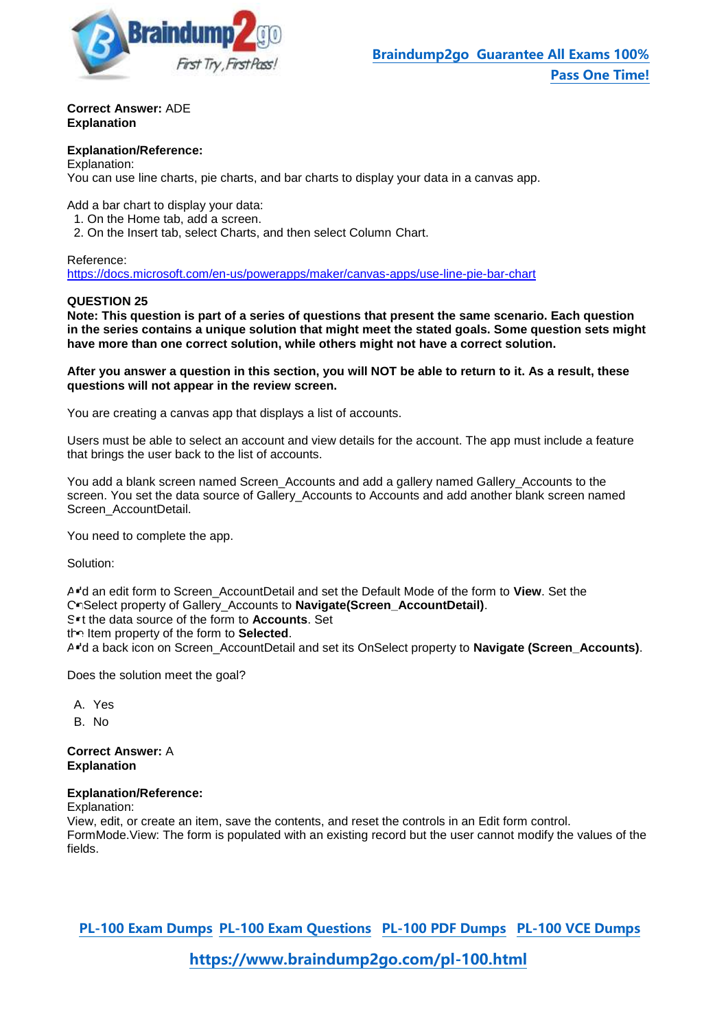

**Correct Answer:** ADE **Explanation**

#### **Explanation/Reference:**

Explanation: You can use line charts, pie charts, and bar charts to display your data in a canvas app.

Add a bar chart to display your data:

1. On the Home tab, add a screen.

2. On the Insert tab, select Charts, and then select Column Chart.

Reference:

https://docs.microsoft.com/en-us/powerapps/maker/canvas-apps/use-line-pie-bar-chart

### **QUESTION 25**

**Note: This question is part of a series of questions that present the same scenario. Each question in the series contains a unique solution that might meet the stated goals. Some question sets might have more than one correct solution, while others might not have a correct solution.**

**After you answer a question in this section, you will NOT be able to return to it. As a result, these questions will not appear in the review screen.**

You are creating a canvas app that displays a list of accounts.

Users must be able to select an account and view details for the account. The app must include a feature that brings the user back to the list of accounts.

You add a blank screen named Screen\_Accounts and add a gallery named Gallery\_Accounts to the screen. You set the data source of Gallery\_Accounts to Accounts and add another blank screen named Screen\_AccountDetail.

You need to complete the app.

Solution:

A<sup>d</sup> an edit form to Screen\_AccountDetail and set the Default Mode of the form to View. Set the OnSelect property of Gallery\_Accounts to **Navigate(Screen\_AccountDetail)**.

Set the data source of the form to **Accounts**. Set

the Item property of the form to **Selected**.

A<sup>-</sup>d a back icon on Screen\_AccountDetail and set its OnSelect property to **Navigate (Screen\_Accounts)**.

Does the solution meet the goal?

- A. Yes
- B. No

**Correct Answer:** A **Explanation**

#### **Explanation/Reference:**

Explanation:

View, edit, or create an item, save the contents, and reset the controls in an Edit form control. FormMode.View: The form is populated with an existing record but the user cannot modify the values of the fields.

**[PL-100 Exam Dumps](https://www.braindump2go.com/pl-100.html) [PL-100 Exam Questions PL-100 PDF Dumps PL-100 VCE Dumps](https://www.braindump2go.com/pl-100.html)**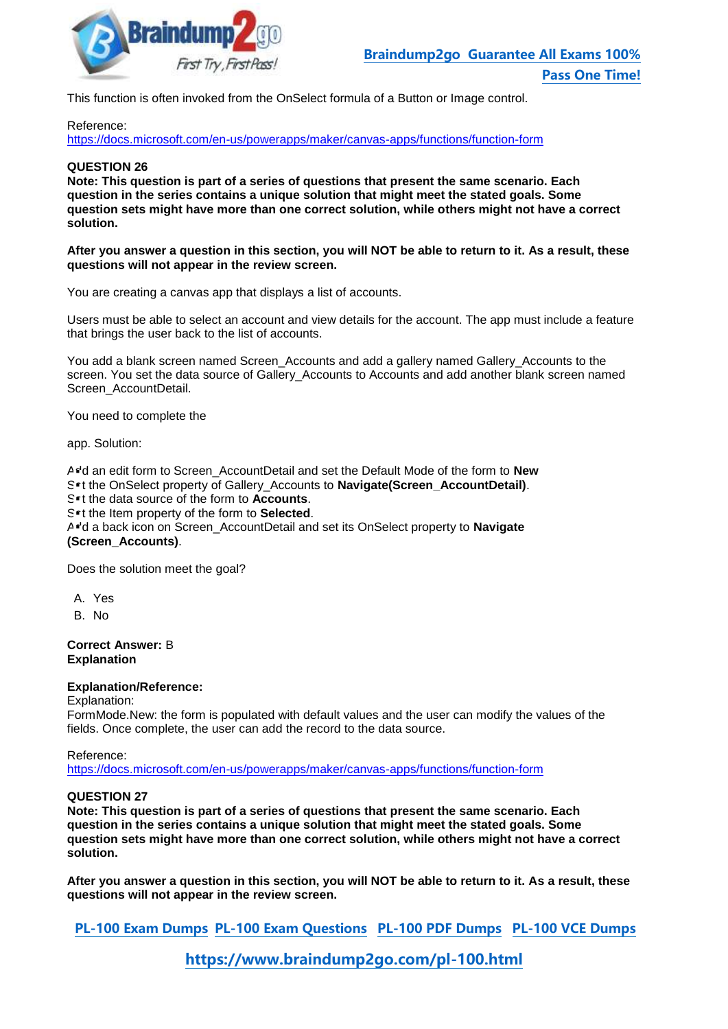

This function is often invoked from the OnSelect formula of a Button or Image control.

#### Reference:

https://docs.microsoft.com/en-us/powerapps/maker/canvas-apps/functions/function-form

#### **QUESTION 26**

**Note: This question is part of a series of questions that present the same scenario. Each question in the series contains a unique solution that might meet the stated goals. Some question sets might have more than one correct solution, while others might not have a correct solution.**

**After you answer a question in this section, you will NOT be able to return to it. As a result, these questions will not appear in the review screen.**

You are creating a canvas app that displays a list of accounts.

Users must be able to select an account and view details for the account. The app must include a feature that brings the user back to the list of accounts.

You add a blank screen named Screen\_Accounts and add a gallery named Gallery\_Accounts to the screen. You set the data source of Gallery\_Accounts to Accounts and add another blank screen named Screen\_AccountDetail.

You need to complete the

app. Solution:

A<sup>d</sup>d an edit form to Screen\_AccountDetail and set the Default Mode of the form to New Set the OnSelect property of Gallery\_Accounts to **Navigate(Screen\_AccountDetail)**.

Set the data source of the form to **Accounts**.

Set the Item property of the form to **Selected**.

A<sup>d</sup> a back icon on Screen\_AccountDetail and set its OnSelect property to Navigate **(Screen\_Accounts)**.

Does the solution meet the goal?

- A. Yes
- B. No

#### **Correct Answer:** B **Explanation**

#### **Explanation/Reference:**

Explanation:

FormMode.New: the form is populated with default values and the user can modify the values of the fields. Once complete, the user can add the record to the data source.

Reference:

https://docs.microsoft.com/en-us/powerapps/maker/canvas-apps/functions/function-form

# **QUESTION 27**

**Note: This question is part of a series of questions that present the same scenario. Each question in the series contains a unique solution that might meet the stated goals. Some question sets might have more than one correct solution, while others might not have a correct solution.**

**After you answer a question in this section, you will NOT be able to return to it. As a result, these questions will not appear in the review screen.**

**[PL-100 Exam Dumps](https://www.braindump2go.com/pl-100.html) [PL-100 Exam Questions PL-100 PDF Dumps PL-100 VCE Dumps](https://www.braindump2go.com/pl-100.html)**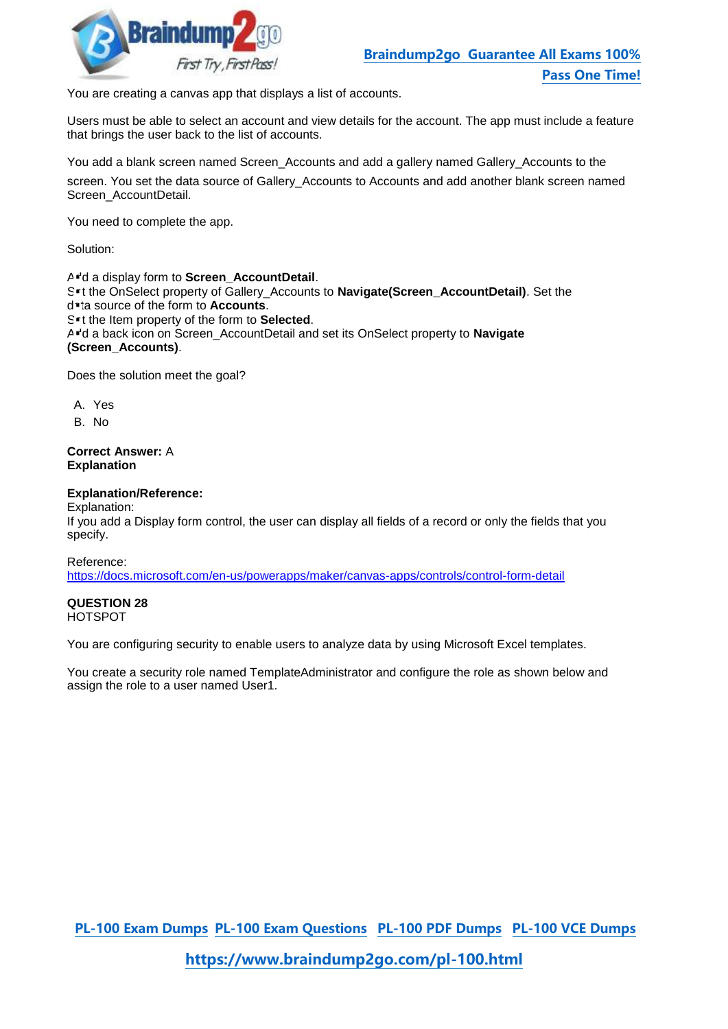

You are creating a canvas app that displays a list of accounts.

Users must be able to select an account and view details for the account. The app must include a feature that brings the user back to the list of accounts.

You add a blank screen named Screen\_Accounts and add a gallery named Gallery\_Accounts to the

screen. You set the data source of Gallery\_Accounts to Accounts and add another blank screen named Screen\_AccountDetail.

You need to complete the app.

Solution:

A<sup>r'</sup>d a display form to **Screen** AccountDetail.

Set the OnSelect property of Gallery\_Accounts to **Navigate(Screen\_AccountDetail)**. Set the data source of the form to **Accounts**.

Set the Item property of the form to **Selected**.

A<sup>-</sup>d a back icon on Screen\_AccountDetail and set its OnSelect property to Navigate **(Screen\_Accounts)**.

Does the solution meet the goal?

A. Yes

B. No

### **Correct Answer:** A **Explanation**

### **Explanation/Reference:**

Explanation:

If you add a Display form control, the user can display all fields of a record or only the fields that you specify.

Reference:

https://docs.microsoft.com/en-us/powerapps/maker/canvas-apps/controls/control-form-detail

# **QUESTION 28**

HOTSPOT

You are configuring security to enable users to analyze data by using Microsoft Excel templates.

You create a security role named TemplateAdministrator and configure the role as shown below and assign the role to a user named User1.

**[PL-100 Exam Dumps](https://www.braindump2go.com/pl-100.html) [PL-100 Exam Questions PL-100 PDF Dumps PL-100 VCE Dumps](https://www.braindump2go.com/pl-100.html)**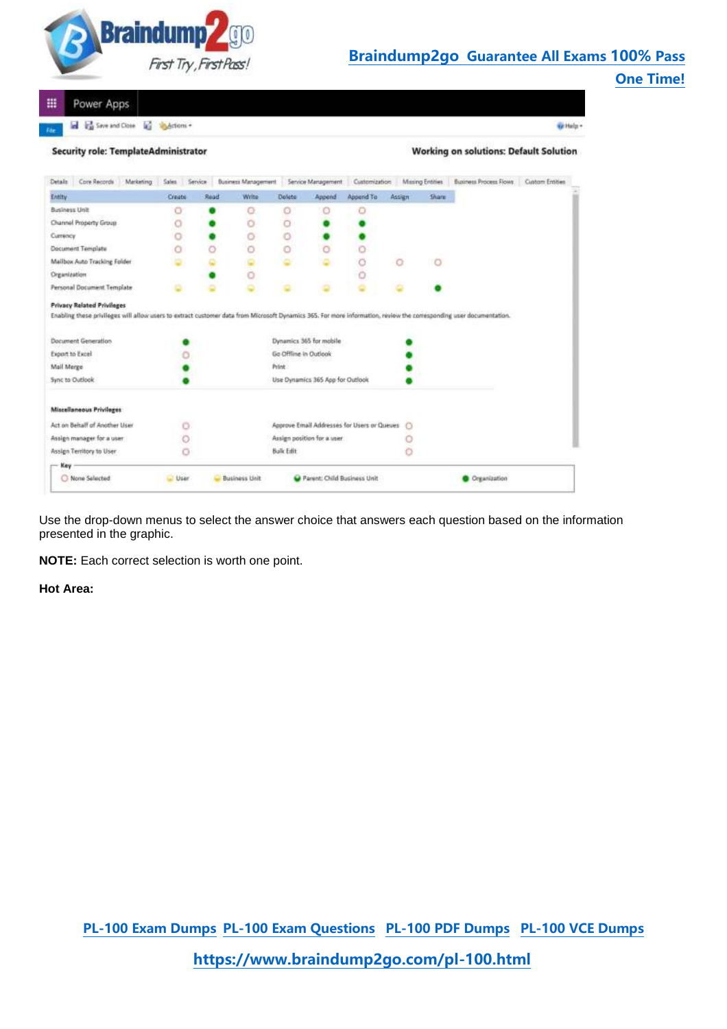

Power Apps m

a Ca Save and Close and Salestions +

Which -

| <b>Security role: TemplateAdministrator</b> |  |  |  |  |  |
|---------------------------------------------|--|--|--|--|--|
|---------------------------------------------|--|--|--|--|--|

**Working on solutions: Default Solution** 

| Core Records<br>Marketing.<br>Detain                                                                                                                                                                     | Sales   | Service | <b>Business Management</b> |                       | Service Management               | Customization                               |         | <b>Mising Entities</b> | Business Process Flows | Custom Entities |
|----------------------------------------------------------------------------------------------------------------------------------------------------------------------------------------------------------|---------|---------|----------------------------|-----------------------|----------------------------------|---------------------------------------------|---------|------------------------|------------------------|-----------------|
| Entity                                                                                                                                                                                                   | Create  | Read    | Write                      | Delete                | Append                           | Append To                                   | Assign  | <b>Share</b>           |                        |                 |
| <b>Bisiness Unit</b>                                                                                                                                                                                     | о       |         | o                          | O                     | O                                | ο                                           |         |                        |                        |                 |
| Channel Property Group                                                                                                                                                                                   | $\circ$ |         | o                          | 0                     |                                  |                                             |         |                        |                        |                 |
| Currency                                                                                                                                                                                                 | ō       |         | Ö                          | O                     |                                  |                                             |         |                        |                        |                 |
| Document Template                                                                                                                                                                                        |         |         | ö                          | Ō                     | $\circ$                          |                                             |         |                        |                        |                 |
| Mailbox Auto Tracking Folder                                                                                                                                                                             |         |         |                            |                       |                                  |                                             | O       | O                      |                        |                 |
| Organization                                                                                                                                                                                             |         |         | O                          |                       |                                  |                                             |         |                        |                        |                 |
| Personal Document Template                                                                                                                                                                               | ٥       |         |                            |                       |                                  |                                             |         |                        |                        |                 |
| <b>Privacy Related Privileges</b><br>Enabling these privileges will allow users to extract customer data from Microsoft Dynamics 365. For more information, review the corresponding user documentation. |         |         |                            |                       |                                  |                                             |         |                        |                        |                 |
| Document Generation                                                                                                                                                                                      |         |         |                            |                       | Dynamics 365 for mobile          |                                             |         |                        |                        |                 |
| Export to Excel                                                                                                                                                                                          |         |         |                            | Go Offline in Outlook |                                  |                                             |         |                        |                        |                 |
| Mail Merge                                                                                                                                                                                               |         |         |                            | Print.                |                                  |                                             |         |                        |                        |                 |
| Sync to Outlook                                                                                                                                                                                          |         |         |                            |                       | Use Dynamics 365 App for Outlook |                                             |         |                        |                        |                 |
|                                                                                                                                                                                                          |         |         |                            |                       |                                  |                                             |         |                        |                        |                 |
|                                                                                                                                                                                                          |         |         |                            |                       |                                  |                                             |         |                        |                        |                 |
|                                                                                                                                                                                                          |         |         |                            |                       |                                  | Approve Email Addresses for Users or Queues | $\circ$ |                        |                        |                 |
|                                                                                                                                                                                                          | o       |         |                            |                       | Assign position for a user       |                                             |         |                        |                        |                 |
|                                                                                                                                                                                                          |         |         |                            | <b>Bulk Edit</b>      |                                  |                                             |         |                        |                        |                 |
| Missellaneous Privileges<br>Act on Behalf of Another User<br>Assign manager for a user<br>Assign Territory to User<br>Key                                                                                |         |         |                            |                       |                                  |                                             |         |                        |                        |                 |

Use the drop-down menus to select the answer choice that answers each question based on the information presented in the graphic.

**NOTE:** Each correct selection is worth one point.

**Hot Area:**

**[PL-100 Exam Dumps](https://www.braindump2go.com/pl-100.html) [PL-100 Exam Questions PL-100 PDF Dumps PL-100 VCE Dumps](https://www.braindump2go.com/pl-100.html)**